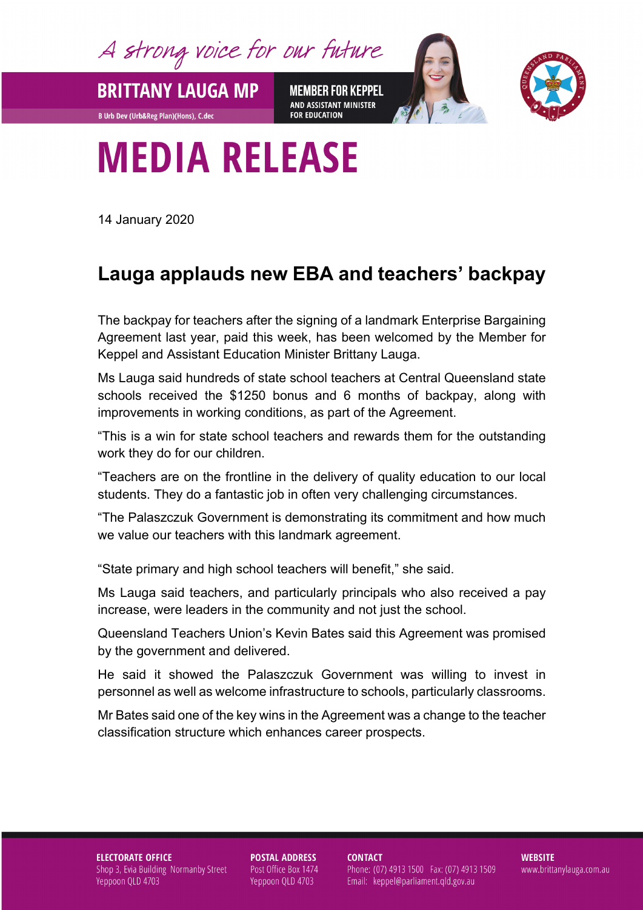A strong voice for our future

**MEMBER FOR KEPPEL** AND ASSISTANT MINISTER **FOR EDUCATION** 



## **MEDIA RELEASE**

14 January 2020

**BRITTANY LAUGA MP** 

**B Urb Dev (Urb&Reg Plan)(Hons), C.dec** 

## **Lauga applauds new EBA and teachers' backpay**

The backpay for teachers after the signing of a landmark Enterprise Bargaining Agreement last year, paid this week, has been welcomed by the Member for Keppel and Assistant Education Minister Brittany Lauga.

Ms Lauga said hundreds of state school teachers at Central Queensland state schools received the \$1250 bonus and 6 months of backpay, along with improvements in working conditions, as part of the Agreement.

"This is a win for state school teachers and rewards them for the outstanding work they do for our children.

"Teachers are on the frontline in the delivery of quality education to our local students. They do a fantastic job in often very challenging circumstances.

"The Palaszczuk Government is demonstrating its commitment and how much we value our teachers with this landmark agreement.

"State primary and high school teachers will benefit," she said.

Ms Lauga said teachers, and particularly principals who also received a pay increase, were leaders in the community and not just the school.

Queensland Teachers Union's Kevin Bates said this Agreement was promised by the government and delivered.

He said it showed the Palaszczuk Government was willing to invest in personnel as well as welcome infrastructure to schools, particularly classrooms.

Mr Bates said one of the key wins in the Agreement was a change to the teacher classification structure which enhances career prospects.

## **ELECTORATE OFFICE** Shop 3, Evia Building Normanby Street Yeppoon QLD 4703

**POSTAL ADDRESS** Post Office Box 1474 Yeppoon QLD 4703

**CONTACT** 

Phone: (07) 4913 1500 Fax: (07) 4913 1509 Email: keppel@parliament.qld.gov.au

**WEBSITE** www.brittanylauga.com.au